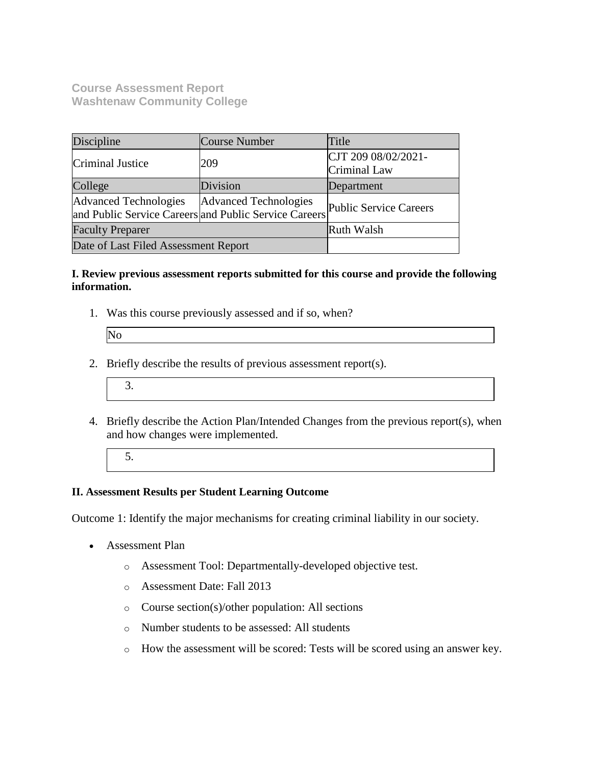**Course Assessment Report Washtenaw Community College**

| Discipline                                                                            | Course Number         | Title                               |
|---------------------------------------------------------------------------------------|-----------------------|-------------------------------------|
| Criminal Justice                                                                      | 209                   | CJT 209 08/02/2021-<br>Criminal Law |
| College                                                                               | Division              | Department                          |
| <b>Advanced Technologies</b><br>and Public Service Careers and Public Service Careers | Advanced Technologies | <b>Public Service Careers</b>       |
| <b>Faculty Preparer</b>                                                               |                       | Ruth Walsh                          |
| Date of Last Filed Assessment Report                                                  |                       |                                     |

## **I. Review previous assessment reports submitted for this course and provide the following information.**

1. Was this course previously assessed and if so, when?

- 2. Briefly describe the results of previous assessment report(s).
	- 3.
- 4. Briefly describe the Action Plan/Intended Changes from the previous report(s), when and how changes were implemented.
	- 5.

# **II. Assessment Results per Student Learning Outcome**

Outcome 1: Identify the major mechanisms for creating criminal liability in our society.

- Assessment Plan
	- o Assessment Tool: Departmentally-developed objective test.
	- o Assessment Date: Fall 2013
	- o Course section(s)/other population: All sections
	- o Number students to be assessed: All students
	- o How the assessment will be scored: Tests will be scored using an answer key.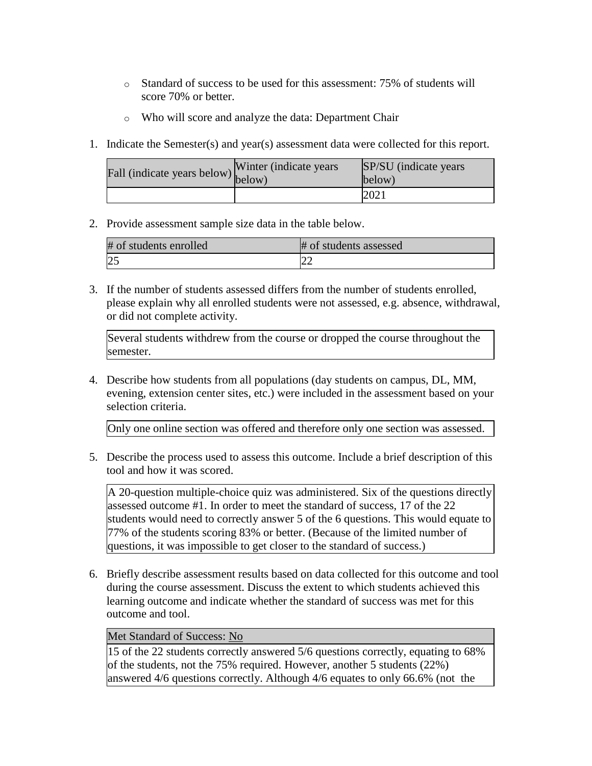- o Standard of success to be used for this assessment: 75% of students will score 70% or better.
- o Who will score and analyze the data: Department Chair
- 1. Indicate the Semester(s) and year(s) assessment data were collected for this report.

| Fall (indicate years below) below) | Winter (indicate years) | SP/SU (indicate years)<br>below) |
|------------------------------------|-------------------------|----------------------------------|
|                                    |                         | 202i                             |

2. Provide assessment sample size data in the table below.

| # of students enrolled | # of students assessed |
|------------------------|------------------------|
|                        |                        |

3. If the number of students assessed differs from the number of students enrolled, please explain why all enrolled students were not assessed, e.g. absence, withdrawal, or did not complete activity.

Several students withdrew from the course or dropped the course throughout the semester.

4. Describe how students from all populations (day students on campus, DL, MM, evening, extension center sites, etc.) were included in the assessment based on your selection criteria.

Only one online section was offered and therefore only one section was assessed.

5. Describe the process used to assess this outcome. Include a brief description of this tool and how it was scored.

A 20-question multiple-choice quiz was administered. Six of the questions directly assessed outcome #1. In order to meet the standard of success, 17 of the 22 students would need to correctly answer 5 of the 6 questions. This would equate to 77% of the students scoring 83% or better. (Because of the limited number of questions, it was impossible to get closer to the standard of success.)

6. Briefly describe assessment results based on data collected for this outcome and tool during the course assessment. Discuss the extent to which students achieved this learning outcome and indicate whether the standard of success was met for this outcome and tool.

# Met Standard of Success: No

15 of the 22 students correctly answered 5/6 questions correctly, equating to 68% of the students, not the 75% required. However, another 5 students (22%) answered 4/6 questions correctly. Although 4/6 equates to only 66.6% (not the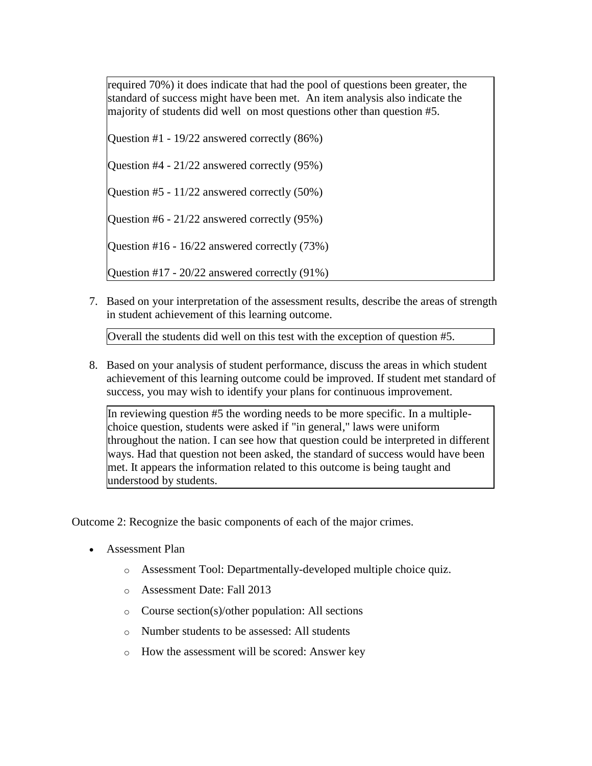required 70%) it does indicate that had the pool of questions been greater, the standard of success might have been met. An item analysis also indicate the majority of students did well on most questions other than question #5.

Question #1 - 19/22 answered correctly (86%)

Question #4 - 21/22 answered correctly (95%)

Question #5 - 11/22 answered correctly (50%)

Question #6 - 21/22 answered correctly (95%)

Question #16 - 16/22 answered correctly (73%)

Question #17 - 20/22 answered correctly (91%)

7. Based on your interpretation of the assessment results, describe the areas of strength in student achievement of this learning outcome.

Overall the students did well on this test with the exception of question #5.

8. Based on your analysis of student performance, discuss the areas in which student achievement of this learning outcome could be improved. If student met standard of success, you may wish to identify your plans for continuous improvement.

In reviewing question #5 the wording needs to be more specific. In a multiplechoice question, students were asked if "in general," laws were uniform throughout the nation. I can see how that question could be interpreted in different ways. Had that question not been asked, the standard of success would have been met. It appears the information related to this outcome is being taught and understood by students.

Outcome 2: Recognize the basic components of each of the major crimes.

- Assessment Plan
	- o Assessment Tool: Departmentally-developed multiple choice quiz.
	- o Assessment Date: Fall 2013
	- o Course section(s)/other population: All sections
	- o Number students to be assessed: All students
	- o How the assessment will be scored: Answer key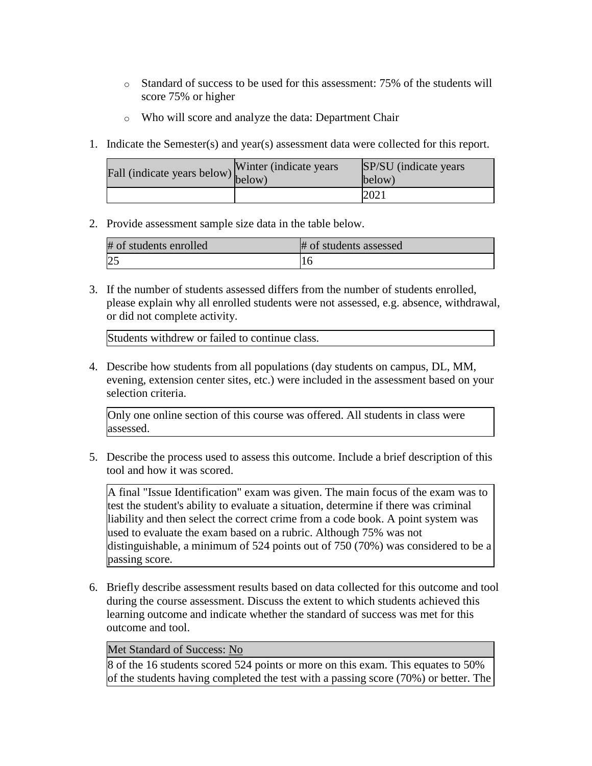- o Standard of success to be used for this assessment: 75% of the students will score 75% or higher
- o Who will score and analyze the data: Department Chair
- 1. Indicate the Semester(s) and year(s) assessment data were collected for this report.

| rall (indicate years below) below) | Winter (indicate years) | SP/SU (indicate years)<br>below) |
|------------------------------------|-------------------------|----------------------------------|
|                                    |                         | 202i                             |

2. Provide assessment sample size data in the table below.

| # of students enrolled | # of students assessed |
|------------------------|------------------------|
|                        |                        |

3. If the number of students assessed differs from the number of students enrolled, please explain why all enrolled students were not assessed, e.g. absence, withdrawal, or did not complete activity.

Students withdrew or failed to continue class.

4. Describe how students from all populations (day students on campus, DL, MM, evening, extension center sites, etc.) were included in the assessment based on your selection criteria.

Only one online section of this course was offered. All students in class were assessed.

5. Describe the process used to assess this outcome. Include a brief description of this tool and how it was scored.

A final "Issue Identification" exam was given. The main focus of the exam was to test the student's ability to evaluate a situation, determine if there was criminal liability and then select the correct crime from a code book. A point system was used to evaluate the exam based on a rubric. Although 75% was not distinguishable, a minimum of 524 points out of 750 (70%) was considered to be a passing score.

6. Briefly describe assessment results based on data collected for this outcome and tool during the course assessment. Discuss the extent to which students achieved this learning outcome and indicate whether the standard of success was met for this outcome and tool.

#### Met Standard of Success: No

8 of the 16 students scored 524 points or more on this exam. This equates to 50% of the students having completed the test with a passing score (70%) or better. The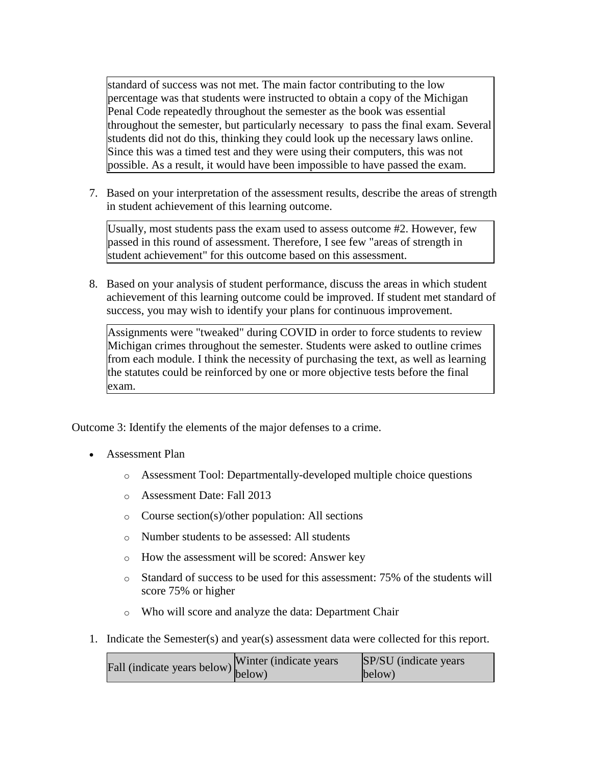standard of success was not met. The main factor contributing to the low percentage was that students were instructed to obtain a copy of the Michigan Penal Code repeatedly throughout the semester as the book was essential throughout the semester, but particularly necessary to pass the final exam. Several students did not do this, thinking they could look up the necessary laws online. Since this was a timed test and they were using their computers, this was not possible. As a result, it would have been impossible to have passed the exam.

7. Based on your interpretation of the assessment results, describe the areas of strength in student achievement of this learning outcome.

Usually, most students pass the exam used to assess outcome #2. However, few passed in this round of assessment. Therefore, I see few "areas of strength in student achievement" for this outcome based on this assessment.

8. Based on your analysis of student performance, discuss the areas in which student achievement of this learning outcome could be improved. If student met standard of success, you may wish to identify your plans for continuous improvement.

Assignments were "tweaked" during COVID in order to force students to review Michigan crimes throughout the semester. Students were asked to outline crimes from each module. I think the necessity of purchasing the text, as well as learning the statutes could be reinforced by one or more objective tests before the final exam.

Outcome 3: Identify the elements of the major defenses to a crime.

- Assessment Plan
	- o Assessment Tool: Departmentally-developed multiple choice questions
	- o Assessment Date: Fall 2013
	- o Course section(s)/other population: All sections
	- o Number students to be assessed: All students
	- o How the assessment will be scored: Answer key
	- o Standard of success to be used for this assessment: 75% of the students will score 75% or higher
	- o Who will score and analyze the data: Department Chair
- 1. Indicate the Semester(s) and year(s) assessment data were collected for this report.

| $\text{unit}$ (indicate years below) Winter (indicate years | SP/SU (indicate years) |
|-------------------------------------------------------------|------------------------|
|                                                             | below)                 |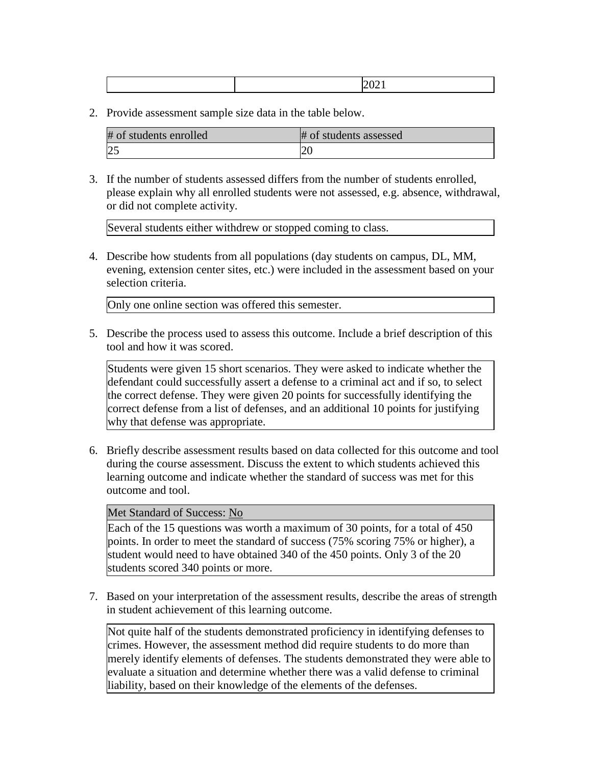|--|--|--|

2. Provide assessment sample size data in the table below.

| # of students enrolled | # of students assessed |
|------------------------|------------------------|
| 2 <sup>5</sup>         |                        |

3. If the number of students assessed differs from the number of students enrolled, please explain why all enrolled students were not assessed, e.g. absence, withdrawal, or did not complete activity.

Several students either withdrew or stopped coming to class.

4. Describe how students from all populations (day students on campus, DL, MM, evening, extension center sites, etc.) were included in the assessment based on your selection criteria.

Only one online section was offered this semester.

5. Describe the process used to assess this outcome. Include a brief description of this tool and how it was scored.

Students were given 15 short scenarios. They were asked to indicate whether the defendant could successfully assert a defense to a criminal act and if so, to select the correct defense. They were given 20 points for successfully identifying the correct defense from a list of defenses, and an additional 10 points for justifying why that defense was appropriate.

6. Briefly describe assessment results based on data collected for this outcome and tool during the course assessment. Discuss the extent to which students achieved this learning outcome and indicate whether the standard of success was met for this outcome and tool.

Met Standard of Success: No

Each of the 15 questions was worth a maximum of 30 points, for a total of 450 points. In order to meet the standard of success (75% scoring 75% or higher), a student would need to have obtained 340 of the 450 points. Only 3 of the 20 students scored 340 points or more.

7. Based on your interpretation of the assessment results, describe the areas of strength in student achievement of this learning outcome.

Not quite half of the students demonstrated proficiency in identifying defenses to crimes. However, the assessment method did require students to do more than merely identify elements of defenses. The students demonstrated they were able to evaluate a situation and determine whether there was a valid defense to criminal liability, based on their knowledge of the elements of the defenses.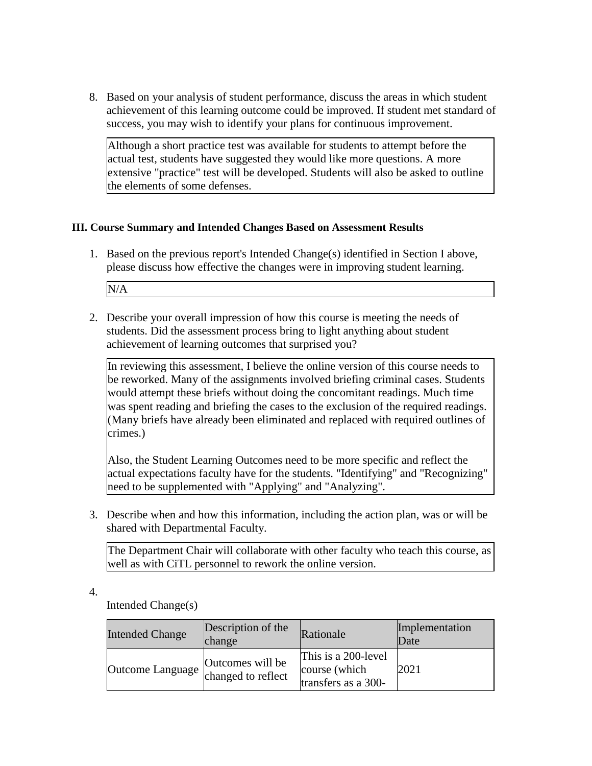8. Based on your analysis of student performance, discuss the areas in which student achievement of this learning outcome could be improved. If student met standard of success, you may wish to identify your plans for continuous improvement.

Although a short practice test was available for students to attempt before the actual test, students have suggested they would like more questions. A more extensive "practice" test will be developed. Students will also be asked to outline the elements of some defenses.

## **III. Course Summary and Intended Changes Based on Assessment Results**

1. Based on the previous report's Intended Change(s) identified in Section I above, please discuss how effective the changes were in improving student learning.

N/A

2. Describe your overall impression of how this course is meeting the needs of students. Did the assessment process bring to light anything about student achievement of learning outcomes that surprised you?

In reviewing this assessment, I believe the online version of this course needs to be reworked. Many of the assignments involved briefing criminal cases. Students would attempt these briefs without doing the concomitant readings. Much time was spent reading and briefing the cases to the exclusion of the required readings. (Many briefs have already been eliminated and replaced with required outlines of crimes.)

Also, the Student Learning Outcomes need to be more specific and reflect the actual expectations faculty have for the students. "Identifying" and "Recognizing" need to be supplemented with "Applying" and "Analyzing".

3. Describe when and how this information, including the action plan, was or will be shared with Departmental Faculty.

The Department Chair will collaborate with other faculty who teach this course, as well as with CiTL personnel to rework the online version.

4.

Intended Change(s)

| <b>Intended Change</b> | Description of the<br>change           | Rationale                                                   | Implementation<br>Date |
|------------------------|----------------------------------------|-------------------------------------------------------------|------------------------|
| Outcome Language       | Outcomes will be<br>changed to reflect | This is a 200-level<br>course (which<br>transfers as a 300- | 2021                   |